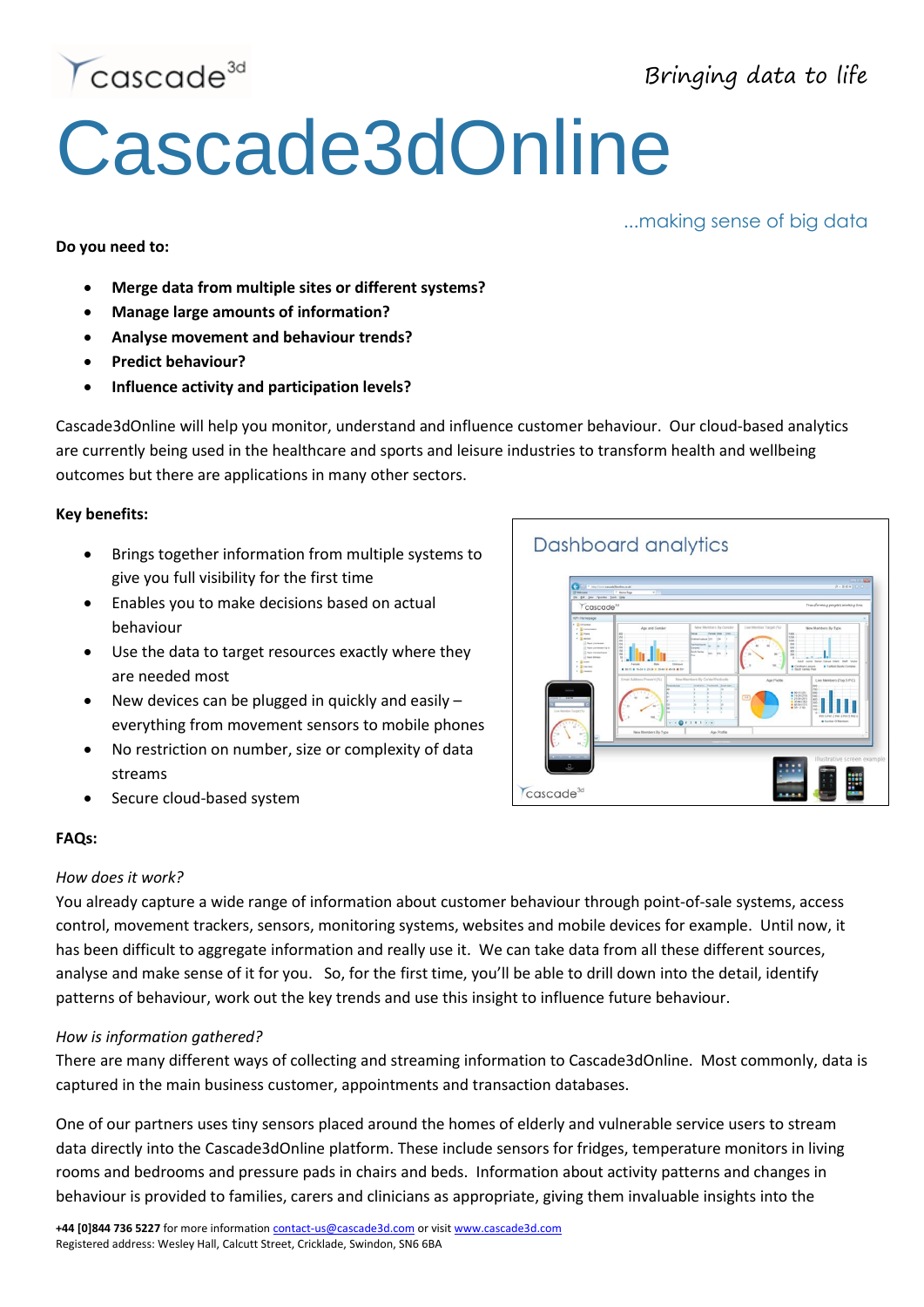Bringing data to life

...making sense of big data



# Cascade3dOnline

**Do you need to:**

- **Merge data from multiple sites or different systems?**
- **Manage large amounts of information?**
- **Analyse movement and behaviour trends?**
- **Predict behaviour?**
- **Influence activity and participation levels?**

Cascade3dOnline will help you monitor, understand and influence customer behaviour. Our cloud-based analytics are currently being used in the healthcare and sports and leisure industries to transform health and wellbeing outcomes but there are applications in many other sectors.

#### **Key benefits:**

- Brings together information from multiple systems to give you full visibility for the first time
- Enables you to make decisions based on actual behaviour
- Use the data to target resources exactly where they are needed most
- New devices can be plugged in quickly and easily everything from movement sensors to mobile phones
- No restriction on number, size or complexity of data streams
- Secure cloud-based system

## Dashboard analytics



## **FAQs:**

#### *How does it work?*

You already capture a wide range of information about customer behaviour through point-of-sale systems, access control, movement trackers, sensors, monitoring systems, websites and mobile devices for example. Until now, it has been difficult to aggregate information and really use it. We can take data from all these different sources, analyse and make sense of it for you. So, for the first time, you'll be able to drill down into the detail, identify patterns of behaviour, work out the key trends and use this insight to influence future behaviour.

## *How is information gathered?*

There are many different ways of collecting and streaming information to Cascade3dOnline. Most commonly, data is captured in the main business customer, appointments and transaction databases.

One of our partners uses tiny sensors placed around the homes of elderly and vulnerable service users to stream data directly into the Cascade3dOnline platform. These include sensors for fridges, temperature monitors in living rooms and bedrooms and pressure pads in chairs and beds. Information about activity patterns and changes in behaviour is provided to families, carers and clinicians as appropriate, giving them invaluable insights into the

**+44 [0]844 736 5227** for more information [contact-us@cascade3d.com](mailto:contact-us@cascade3d.com) or visit [www.cascade3d.com](http://www.cascade3d.com/) Registered address: Wesley Hall, Calcutt Street, Cricklade, Swindon, SN6 6BA